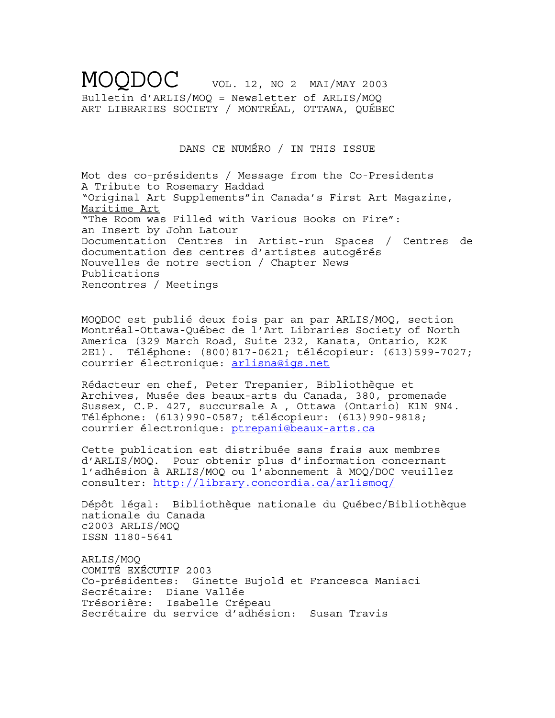MOQDOC VOL. 12, NO 2 MAI/MAY 2003 Bulletin d'ARLIS/MOQ = Newsletter of ARLIS/MOQ ART LIBRARIES SOCIETY / MONTRÉAL, OTTAWA, QUÉBEC

DANS CE NUMÉRO / IN THIS ISSUE

Mot des co-présidents / Message from the Co-Presidents A Tribute to Rosemary Haddad "Original Art Supplements"in Canada's First Art Magazine, Maritime Art "The Room was Filled with Various Books on Fire": an Insert by John Latour Documentation Centres in Artist-run Spaces / Centres de documentation des centres d'artistes autogérés Nouvelles de notre section / Chapter News Publications Rencontres / Meetings

MOQDOC est publié deux fois par an par ARLIS/MOQ, section Montréal-Ottawa-Québec de l'Art Libraries Society of North America (329 March Road, Suite 232, Kanata, Ontario, K2K 2E1). Téléphone: (800)817-0621; télécopieur: (613)599-7027; courrier électronique: arlisna@igs.net

Rédacteur en chef, Peter Trepanier, Bibliothèque et Archives, Musée des beaux-arts du Canada, 380, promenade Sussex, C.P. 427, succursale A , Ottawa (Ontario) K1N 9N4. Téléphone: (613)990-0587; télécopieur: (613)990-9818; courrier électronique: ptrepani@beaux-arts.ca

Cette publication est distribuée sans frais aux membres d'ARLIS/MOQ. Pour obtenir plus d'information concernant l'adhésion à ARLIS/MOQ ou l'abonnement à MOQ/DOC veuillez consulter: http://library.concordia.ca/arlismoq/

Dépôt légal: Bibliothèque nationale du Québec/Bibliothèque nationale du Canada c2003 ARLIS/MOQ ISSN 1180-5641

ARLIS/MOQ COMITÉ EXÉCUTIF 2003 Co-présidentes: Ginette Bujold et Francesca Maniaci Secrétaire: Diane Vallée Trésorière: Isabelle Crépeau Secrétaire du service d'adhésion: Susan Travis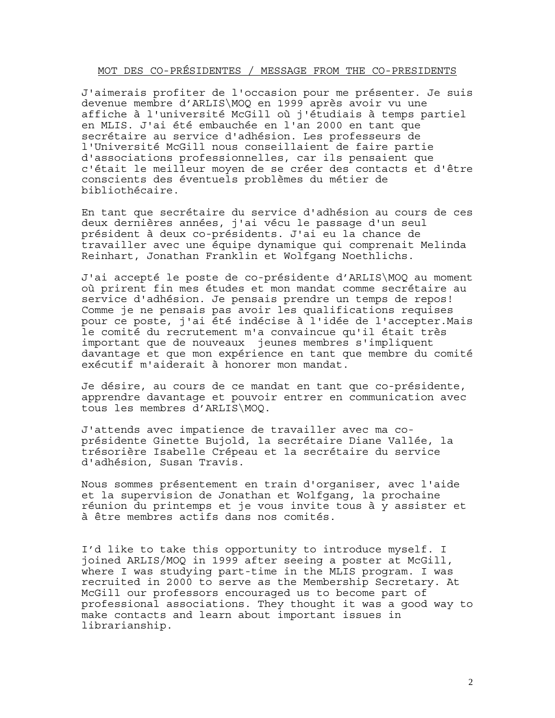### MOT DES CO-PRÉSIDENTES / MESSAGE FROM THE CO-PRESIDENTS

J'aimerais profiter de l'occasion pour me présenter. Je suis devenue membre d'ARLIS\MOQ en 1999 après avoir vu une affiche à l'université McGill où j'étudiais à temps partiel en MLIS. J'ai été embauchée en l'an 2000 en tant que secrétaire au service d'adhésion. Les professeurs de l'Université McGill nous conseillaient de faire partie d'associations professionnelles, car ils pensaient que c'était le meilleur moyen de se créer des contacts et d'être conscients des éventuels problèmes du métier de bibliothécaire.

En tant que secrétaire du service d'adhésion au cours de ces deux dernières années, j'ai vécu le passage d'un seul président à deux co-présidents. J'ai eu la chance de travailler avec une équipe dynamique qui comprenait Melinda Reinhart, Jonathan Franklin et Wolfgang Noethlichs.

J'ai accepté le poste de co-présidente d'ARLIS\MOQ au moment où prirent fin mes études et mon mandat comme secrétaire au service d'adhésion. Je pensais prendre un temps de repos! Comme je ne pensais pas avoir les qualifications requises pour ce poste, j'ai été indécise à l'idée de l'accepter.Mais le comité du recrutement m'a convaincue qu'il était très important que de nouveaux jeunes membres s'impliquent davantage et que mon expérience en tant que membre du comité exécutif m'aiderait à honorer mon mandat.

Je désire, au cours de ce mandat en tant que co-présidente, apprendre davantage et pouvoir entrer en communication avec tous les membres d'ARLIS\MOQ.

J'attends avec impatience de travailler avec ma coprésidente Ginette Bujold, la secrétaire Diane Vallée, la trésorière Isabelle Crépeau et la secrétaire du service d'adhésion, Susan Travis.

Nous sommes présentement en train d'organiser, avec l'aide et la supervision de Jonathan et Wolfgang, la prochaine réunion du printemps et je vous invite tous à y assister et à être membres actifs dans nos comités.

I'd like to take this opportunity to introduce myself. I joined ARLIS/MOQ in 1999 after seeing a poster at McGill, where I was studying part-time in the MLIS program. I was recruited in 2000 to serve as the Membership Secretary. At McGill our professors encouraged us to become part of professional associations. They thought it was a good way to make contacts and learn about important issues in librarianship.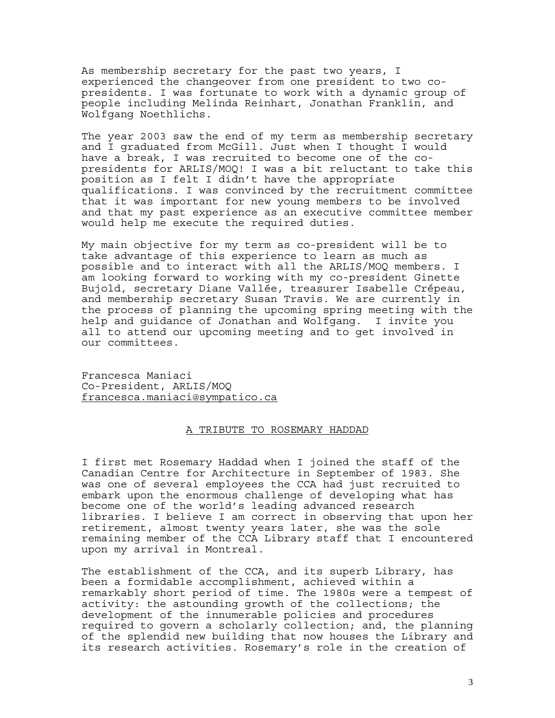As membership secretary for the past two years, I experienced the changeover from one president to two copresidents. I was fortunate to work with a dynamic group of people including Melinda Reinhart, Jonathan Franklin, and Wolfgang Noethlichs.

The year 2003 saw the end of my term as membership secretary and I graduated from McGill. Just when I thought I would have a break, I was recruited to become one of the copresidents for ARLIS/MOQ! I was a bit reluctant to take this position as I felt I didn't have the appropriate qualifications. I was convinced by the recruitment committee that it was important for new young members to be involved and that my past experience as an executive committee member would help me execute the required duties.

My main objective for my term as co-president will be to take advantage of this experience to learn as much as possible and to interact with all the ARLIS/MOQ members. I am looking forward to working with my co-president Ginette Bujold, secretary Diane Vallée, treasurer Isabelle Crépeau, and membership secretary Susan Travis. We are currently in the process of planning the upcoming spring meeting with the help and guidance of Jonathan and Wolfgang. I invite you all to attend our upcoming meeting and to get involved in our committees.

Francesca Maniaci Co-President, ARLIS/MOQ francesca.maniaci@sympatico.ca

#### A TRIBUTE TO ROSEMARY HADDAD

I first met Rosemary Haddad when I joined the staff of the Canadian Centre for Architecture in September of 1983. She was one of several employees the CCA had just recruited to embark upon the enormous challenge of developing what has become one of the world's leading advanced research libraries. I believe I am correct in observing that upon her retirement, almost twenty years later, she was the sole remaining member of the CCA Library staff that I encountered upon my arrival in Montreal.

The establishment of the CCA, and its superb Library, has been a formidable accomplishment, achieved within a remarkably short period of time. The 1980s were a tempest of activity: the astounding growth of the collections; the development of the innumerable policies and procedures required to govern a scholarly collection; and, the planning of the splendid new building that now houses the Library and its research activities. Rosemary's role in the creation of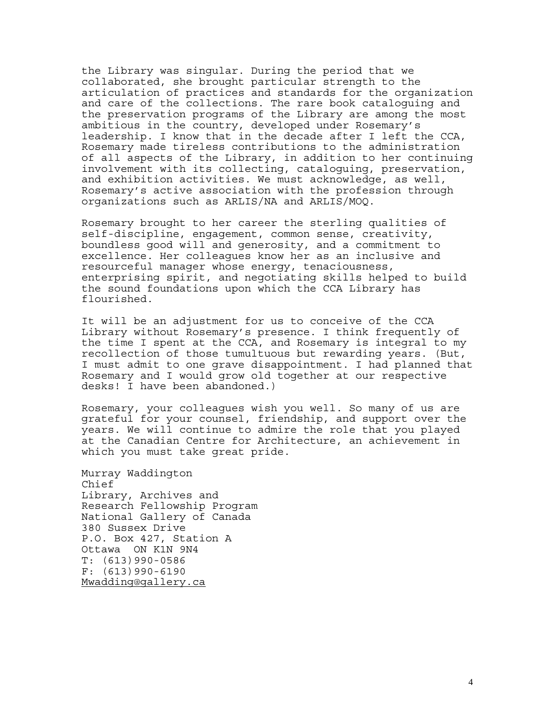the Library was singular. During the period that we collaborated, she brought particular strength to the articulation of practices and standards for the organization and care of the collections. The rare book cataloguing and the preservation programs of the Library are among the most ambitious in the country, developed under Rosemary's leadership. I know that in the decade after I left the CCA, Rosemary made tireless contributions to the administration of all aspects of the Library, in addition to her continuing involvement with its collecting, cataloguing, preservation, and exhibition activities. We must acknowledge, as well, Rosemary's active association with the profession through organizations such as ARLIS/NA and ARLIS/MOQ.

Rosemary brought to her career the sterling qualities of self-discipline, engagement, common sense, creativity, boundless good will and generosity, and a commitment to excellence. Her colleagues know her as an inclusive and resourceful manager whose energy, tenaciousness, enterprising spirit, and negotiating skills helped to build the sound foundations upon which the CCA Library has flourished.

It will be an adjustment for us to conceive of the CCA Library without Rosemary's presence. I think frequently of the time I spent at the CCA, and Rosemary is integral to my recollection of those tumultuous but rewarding years. (But, I must admit to one grave disappointment. I had planned that Rosemary and I would grow old together at our respective desks! I have been abandoned.)

Rosemary, your colleagues wish you well. So many of us are grateful for your counsel, friendship, and support over the years. We will continue to admire the role that you played at the Canadian Centre for Architecture, an achievement in which you must take great pride.

Murray Waddington Chief Library, Archives and Research Fellowship Program National Gallery of Canada 380 Sussex Drive P.O. Box 427, Station A Ottawa ON K1N 9N4 T: (613)990-0586 F: (613)990-6190 Mwadding@gallery.ca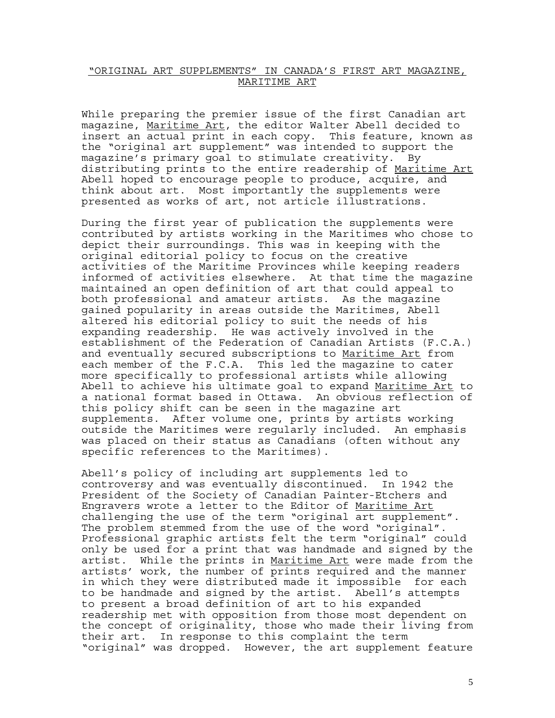## "ORIGINAL ART SUPPLEMENTS" IN CANADA'S FIRST ART MAGAZINE, MARITIME ART

While preparing the premier issue of the first Canadian art magazine, Maritime Art, the editor Walter Abell decided to insert an actual print in each copy. This feature, known as the "original art supplement" was intended to support the magazine's primary goal to stimulate creativity. By distributing prints to the entire readership of Maritime Art Abell hoped to encourage people to produce, acquire, and think about art. Most importantly the supplements were presented as works of art, not article illustrations.

During the first year of publication the supplements were contributed by artists working in the Maritimes who chose to depict their surroundings. This was in keeping with the original editorial policy to focus on the creative activities of the Maritime Provinces while keeping readers informed of activities elsewhere. At that time the magazine maintained an open definition of art that could appeal to both professional and amateur artists. As the magazine gained popularity in areas outside the Maritimes, Abell altered his editorial policy to suit the needs of his expanding readership. He was actively involved in the establishment of the Federation of Canadian Artists (F.C.A.) and eventually secured subscriptions to Maritime Art from each member of the F.C.A. This led the magazine to cater more specifically to professional artists while allowing Abell to achieve his ultimate goal to expand Maritime Art to a national format based in Ottawa. An obvious reflection of this policy shift can be seen in the magazine art supplements. After volume one, prints by artists working outside the Maritimes were regularly included. An emphasis was placed on their status as Canadians (often without any specific references to the Maritimes).

Abell's policy of including art supplements led to controversy and was eventually discontinued. In 1942 the President of the Society of Canadian Painter-Etchers and Engravers wrote a letter to the Editor of Maritime Art challenging the use of the term "original art supplement". The problem stemmed from the use of the word "original". Professional graphic artists felt the term "original" could only be used for a print that was handmade and signed by the artist. While the prints in Maritime Art were made from the artists' work, the number of prints required and the manner in which they were distributed made it impossible for each to be handmade and signed by the artist. Abell's attempts to present a broad definition of art to his expanded readership met with opposition from those most dependent on the concept of originality, those who made their living from their art. In response to this complaint the term "original" was dropped. However, the art supplement feature

5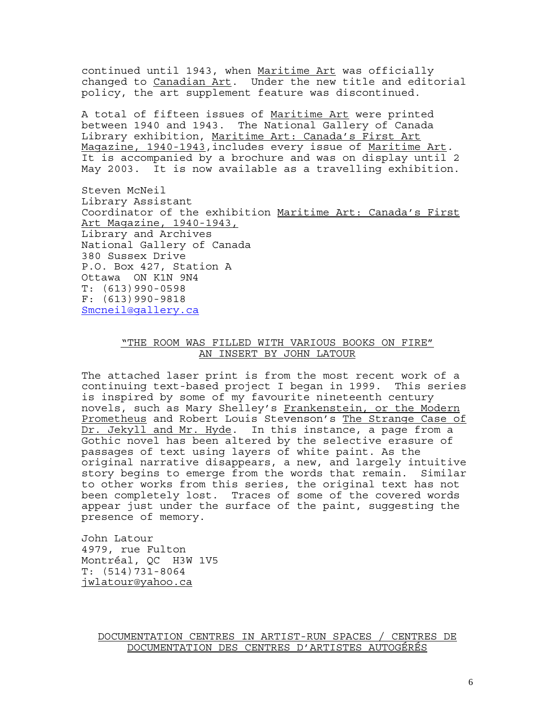continued until 1943, when Maritime Art was officially changed to Canadian Art. Under the new title and editorial policy, the art supplement feature was discontinued.

A total of fifteen issues of Maritime Art were printed between 1940 and 1943. The National Gallery of Canada Library exhibition, Maritime Art: Canada's First Art Magazine, 1940-1943,includes every issue of Maritime Art*.* It is accompanied by a brochure and was on display until 2 May 2003. It is now available as a travelling exhibition.

Steven McNeil Library Assistant Coordinator of the exhibition Maritime Art: Canada's First Art Magazine, 1940-1943, Library and Archives National Gallery of Canada 380 Sussex Drive P.O. Box 427, Station A Ottawa ON K1N 9N4 T: (613)990-0598 F: (613)990-9818 Smcneil@gallery.ca

## "THE ROOM WAS FILLED WITH VARIOUS BOOKS ON FIRE" AN INSERT BY JOHN LATOUR

The attached laser print is from the most recent work of a continuing text-based project I began in 1999. This series is inspired by some of my favourite nineteenth century novels, such as Mary Shelley's Frankenstein, or the Modern Prometheus and Robert Louis Stevenson's The Strange Case of Dr. Jekyll and Mr. Hyde. In this instance, a page from a Gothic novel has been altered by the selective erasure of passages of text using layers of white paint. As the original narrative disappears, a new, and largely intuitive story begins to emerge from the words that remain. Similar to other works from this series, the original text has not been completely lost. Traces of some of the covered words appear just under the surface of the paint, suggesting the presence of memory.

John Latour 4979, rue Fulton Montréal, QC H3W 1V5 T: (514)731-8064 jwlatour@yahoo.ca

> DOCUMENTATION CENTRES IN ARTIST-RUN SPACES / CENTRES DE DOCUMENTATION DES CENTRES D'ARTISTES AUTOGÉRÉS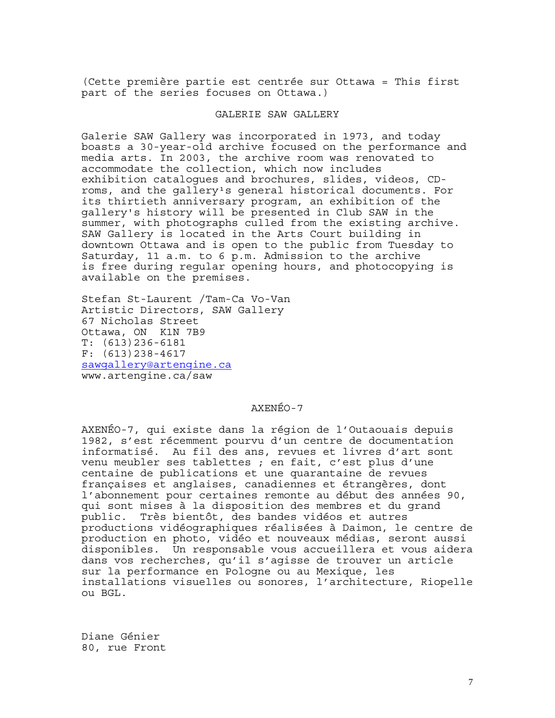(Cette première partie est centrée sur Ottawa = This first part of the series focuses on Ottawa.)

## GALERIE SAW GALLERY

Galerie SAW Gallery was incorporated in 1973, and today boasts a 30-year-old archive focused on the performance and media arts. In 2003, the archive room was renovated to accommodate the collection, which now includes exhibition catalogues and brochures, slides, videos, CDroms, and the gallery's general historical documents. For its thirtieth anniversary program, an exhibition of the gallery's history will be presented in Club SAW in the summer, with photographs culled from the existing archive. SAW Gallery is located in the Arts Court building in downtown Ottawa and is open to the public from Tuesday to Saturday, 11 a.m. to 6 p.m. Admission to the archive is free during regular opening hours, and photocopying is available on the premises.

Stefan St-Laurent /Tam-Ca Vo-Van Artistic Directors, SAW Gallery 67 Nicholas Street Ottawa, ON K1N 7B9 T: (613)236-6181 F: (613)238-4617 sawgallery@artengine.ca www.artengine.ca/saw

### AXENÉO-7

AXENÉO-7, qui existe dans la région de l'Outaouais depuis 1982, s'est récemment pourvu d'un centre de documentation informatisé. Au fil des ans, revues et livres d'art sont venu meubler ses tablettes ; en fait, c'est plus d'une centaine de publications et une quarantaine de revues françaises et anglaises, canadiennes et étrangères, dont l'abonnement pour certaines remonte au début des années 90, qui sont mises à la disposition des membres et du grand public. Très bientôt, des bandes vidéos et autres productions vidéographiques réalisées à Daimon, le centre de production en photo, vidéo et nouveaux médias, seront aussi disponibles. Un responsable vous accueillera et vous aidera dans vos recherches, qu'il s'agisse de trouver un article sur la performance en Pologne ou au Mexique, les installations visuelles ou sonores, l'architecture, Riopelle ou BGL.

Diane Génier 80, rue Front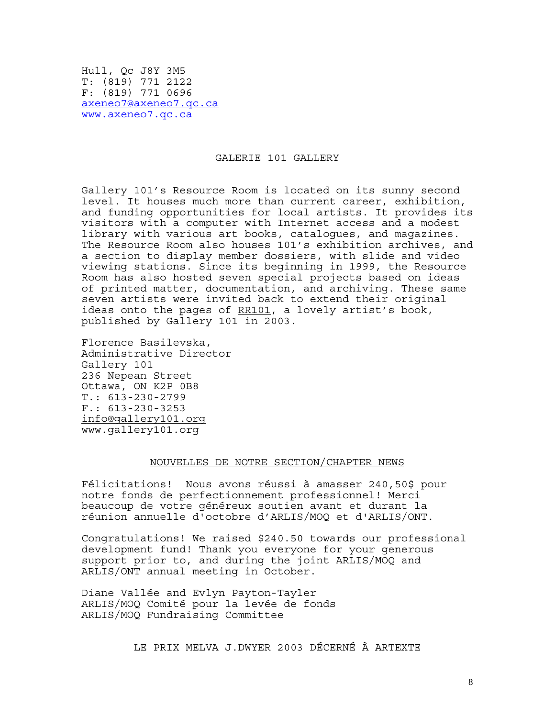Hull, Qc J8Y 3M5 T: (819) 771 2122 F: (819) 771 0696 axeneo7@axeneo7.qc.ca www.axeneo7.qc.ca

#### GALERIE 101 GALLERY

Gallery 101's Resource Room is located on its sunny second level. It houses much more than current career, exhibition, and funding opportunities for local artists. It provides its visitors with a computer with Internet access and a modest library with various art books, catalogues, and magazines. The Resource Room also houses 101's exhibition archives, and a section to display member dossiers, with slide and video viewing stations. Since its beginning in 1999, the Resource Room has also hosted seven special projects based on ideas of printed matter, documentation, and archiving. These same seven artists were invited back to extend their original ideas onto the pages of RR101, a lovely artist's book, published by Gallery 101 in 2003.

Florence Basilevska, Administrative Director Gallery 101 236 Nepean Street Ottawa, ON K2P 0B8 T.: 613-230-2799 F.: 613-230-3253 info@gallery101.org www.gallery101.org

# NOUVELLES DE NOTRE SECTION/CHAPTER NEWS

Félicitations! Nous avons réussi à amasser 240,50\$ pour notre fonds de perfectionnement professionnel! Merci beaucoup de votre généreux soutien avant et durant la réunion annuelle d'octobre d'ARLIS/MOQ et d'ARLIS/ONT.

Congratulations! We raised \$240.50 towards our professional development fund! Thank you everyone for your generous support prior to, and during the joint ARLIS/MOQ and ARLIS/ONT annual meeting in October.

Diane Vallée and Evlyn Payton-Tayler ARLIS/MOQ Comité pour la levée de fonds ARLIS/MOQ Fundraising Committee

LE PRIX MELVA J.DWYER 2003 DÉCERNÉ À ARTEXTE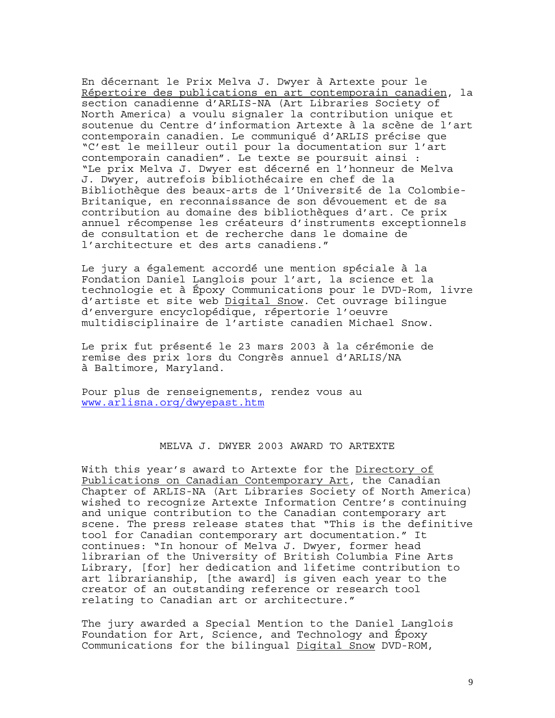En décernant le Prix Melva J. Dwyer à Artexte pour le Répertoire des publications en art contemporain canadien, la section canadienne d'ARLIS-NA (Art Libraries Society of North America) a voulu signaler la contribution unique et soutenue du Centre d'information Artexte à la scène de l'art contemporain canadien. Le communiqué d'ARLIS précise que "C'est le meilleur outil pour la documentation sur l'art contemporain canadien". Le texte se poursuit ainsi : "Le prix Melva J. Dwyer est décerné en l'honneur de Melva J. Dwyer, autrefois bibliothécaire en chef de la Bibliothèque des beaux-arts de l'Université de la Colombie-Britanique, en reconnaissance de son dévouement et de sa contribution au domaine des bibliothèques d'art. Ce prix annuel récompense les créateurs d'instruments exceptionnels de consultation et de recherche dans le domaine de l'architecture et des arts canadiens."

Le jury a également accordé une mention spéciale à la Fondation Daniel Langlois pour l'art, la science et la technologie et à Époxy Communications pour le DVD-Rom, livre d'artiste et site web Digital Snow. Cet ouvrage bilingue d'envergure encyclopédique, répertorie l'oeuvre multidisciplinaire de l'artiste canadien Michael Snow.

Le prix fut présenté le 23 mars 2003 à la cérémonie de remise des prix lors du Congrès annuel d'ARLIS/NA à Baltimore, Maryland.

Pour plus de renseignements, rendez vous au www.arlisna.org/dwyepast.htm

## MELVA J. DWYER 2003 AWARD TO ARTEXTE

With this year's award to Artexte for the Directory of Publications on Canadian Contemporary Art, the Canadian Chapter of ARLIS-NA (Art Libraries Society of North America) wished to recognize Artexte Information Centre's continuing and unique contribution to the Canadian contemporary art scene. The press release states that "This is the definitive tool for Canadian contemporary art documentation." It continues: "In honour of Melva J. Dwyer, former head librarian of the University of British Columbia Fine Arts Library, [for] her dedication and lifetime contribution to art librarianship, [the award] is given each year to the creator of an outstanding reference or research tool relating to Canadian art or architecture."

The jury awarded a Special Mention to the Daniel Langlois Foundation for Art, Science, and Technology and Époxy Communications for the bilingual Digital Snow DVD-ROM,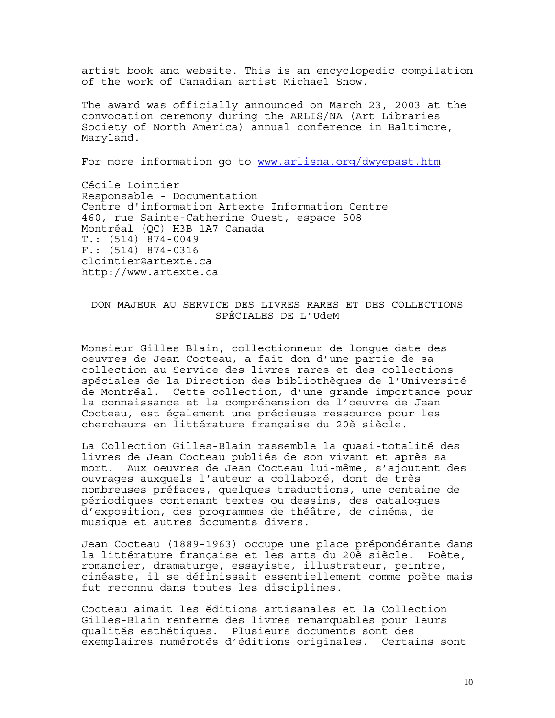artist book and website. This is an encyclopedic compilation of the work of Canadian artist Michael Snow.

The award was officially announced on March 23, 2003 at the convocation ceremony during the ARLIS/NA (Art Libraries Society of North America) annual conference in Baltimore, Maryland.

For more information go to www.arlisna.org/dwyepast.htm

Cécile Lointier Responsable - Documentation Centre d'information Artexte Information Centre 460, rue Sainte-Catherine Ouest, espace 508 Montréal (QC) H3B 1A7 Canada T.: (514) 874-0049 F.: (514) 874-0316 clointier@artexte.ca http://www.artexte.ca

# DON MAJEUR AU SERVICE DES LIVRES RARES ET DES COLLECTIONS SPÉCIALES DE L'UdeM

Monsieur Gilles Blain, collectionneur de longue date des oeuvres de Jean Cocteau, a fait don d'une partie de sa collection au Service des livres rares et des collections spéciales de la Direction des bibliothèques de l'Université de Montréal. Cette collection, d'une grande importance pour la connaissance et la compréhension de l'oeuvre de Jean Cocteau, est également une précieuse ressource pour les chercheurs en littérature française du 20è siècle.

La Collection Gilles-Blain rassemble la quasi-totalité des livres de Jean Cocteau publiés de son vivant et après sa mort. Aux oeuvres de Jean Cocteau lui-même, s'ajoutent des ouvrages auxquels l'auteur a collaboré, dont de très nombreuses préfaces, quelques traductions, une centaine de périodiques contenant textes ou dessins, des catalogues d'exposition, des programmes de théâtre, de cinéma, de musique et autres documents divers.

Jean Cocteau (1889-1963) occupe une place prépondérante dans la littérature française et les arts du 20è siècle. Poète, romancier, dramaturge, essayiste, illustrateur, peintre, cinéaste, il se définissait essentiellement comme poète mais fut reconnu dans toutes les disciplines.

Cocteau aimait les éditions artisanales et la Collection Gilles-Blain renferme des livres remarquables pour leurs qualités esthétiques. Plusieurs documents sont des exemplaires numérotés d'éditions originales. Certains sont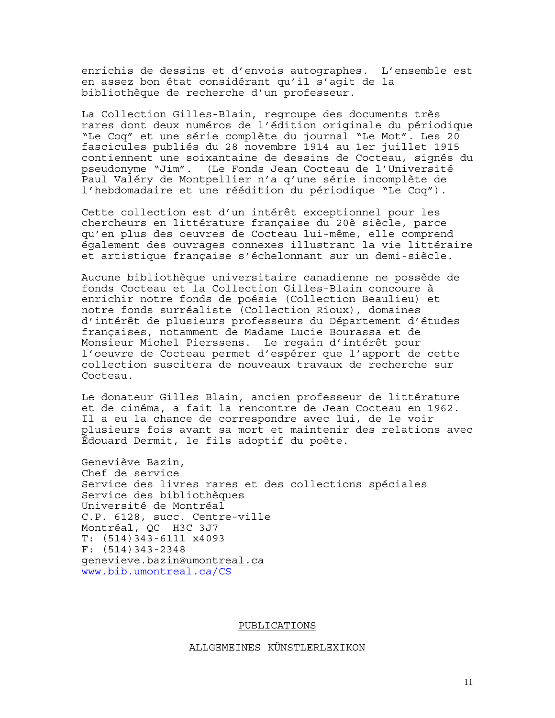enrichis de dessins et d'envois autographes. L'ensemble est en assez bon état considérant qu'il s'agit de la bibliothèque de recherche d'un professeur.

La Collection Gilles-Blain, regroupe des documents très rares dont deux numéros de l'édition originale du périodique "Le Coq" et une série complète du journal "Le Mot". Les 20 fascicules publiés du 28 novembre 1914 au 1er juillet 1915 contiennent une soixantaine de dessins de Cocteau, signés du pseudonyme "Jim". (Le Fonds Jean Cocteau de l'Université Paul Valéry de Montpellier n'a q'une série incomplète de l'hebdomadaire et une réédition du périodique "Le Coq").

Cette collection est d'un intérêt exceptionnel pour les chercheurs en littérature française du 20è siècle, parce qu'en plus des oeuvres de Cocteau lui-même, elle comprend également des ouvrages connexes illustrant la vie littéraire et artistique française s'échelonnant sur un demi-siècle.

Aucune bibliothèque universitaire canadienne ne possède de fonds Cocteau et la Collection Gilles-Blain concoure à enrichir notre fonds de poésie (Collection Beaulieu) et notre fonds surréaliste (Collection Rioux), domaines d'intérêt de plusieurs professeurs du Département d'études françaises, notamment de Madame Lucie Bourassa et de Monsieur Michel Pierssens. Le regain d'intérêt pour l'oeuvre de Cocteau permet d'espérer que l'apport de cette collection suscitera de nouveaux travaux de recherche sur Cocteau.

Le donateur Gilles Blain, ancien professeur de littérature et de cinéma, a fait la rencontre de Jean Cocteau en 1962. Il a eu la chance de correspondre avec lui, de le voir plusieurs fois avant sa mort et maintenir des relations avec Édouard Dermit, le fils adoptif du poète.

Geneviève Bazin, Chef de service Service des livres rares et des collections spéciales Service des bibliothèques Université de Montréal C.P. 6128, succ. Centre-ville Montréal, QC H3C 3J7 T: (514)343-6111 x4093 F: (514)343-2348 genevieve.bazin@umontreal.ca www.bib.umontreal.ca/CS

PUBLICATIONS

ALLGEMEINES KÜNSTLERLEXIKON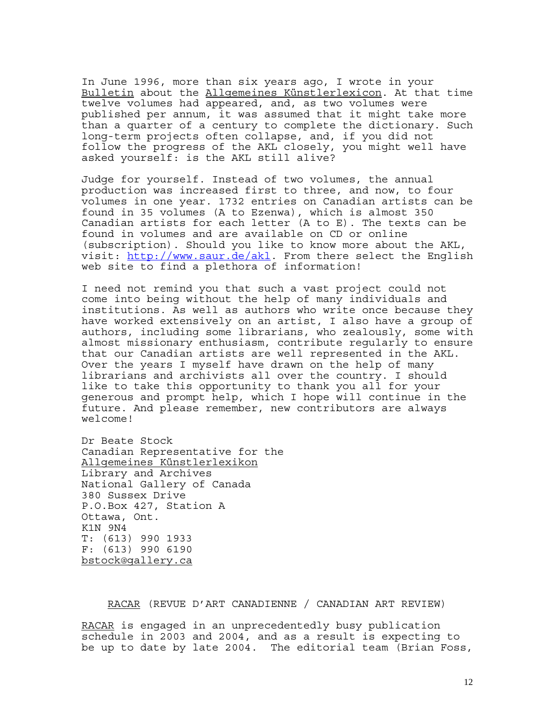In June 1996, more than six years ago, I wrote in your Bulletin about the Allgemeines Künstlerlexicon. At that time twelve volumes had appeared, and, as two volumes were published per annum, it was assumed that it might take more than a quarter of a century to complete the dictionary. Such long-term projects often collapse, and, if you did not follow the progress of the AKL closely, you might well have asked yourself: is the AKL still alive?

Judge for yourself. Instead of two volumes, the annual production was increased first to three, and now, to four volumes in one year. 1732 entries on Canadian artists can be found in 35 volumes (A to Ezenwa), which is almost 350 Canadian artists for each letter (A to E). The texts can be found in volumes and are available on CD or online (subscription). Should you like to know more about the AKL, visit: http://www.saur.de/akl. From there select the English web site to find a plethora of information!

I need not remind you that such a vast project could not come into being without the help of many individuals and institutions. As well as authors who write once because they have worked extensively on an artist, I also have a group of authors, including some librarians, who zealously, some with almost missionary enthusiasm, contribute regularly to ensure that our Canadian artists are well represented in the AKL. Over the years I myself have drawn on the help of many librarians and archivists all over the country. I should like to take this opportunity to thank you all for your generous and prompt help, which I hope will continue in the future. And please remember, new contributors are always welcome!

Dr Beate Stock Canadian Representative for the Allgemeines Künstlerlexikon Library and Archives National Gallery of Canada 380 Sussex Drive P.O.Box 427, Station A Ottawa, Ont. K1N 9N4 T: (613) 990 1933 F: (613) 990 6190 bstock@gallery.ca

RACAR (REVUE D'ART CANADIENNE / CANADIAN ART REVIEW)

RACAR is engaged in an unprecedentedly busy publication schedule in 2003 and 2004, and as a result is expecting to be up to date by late 2004. The editorial team (Brian Foss,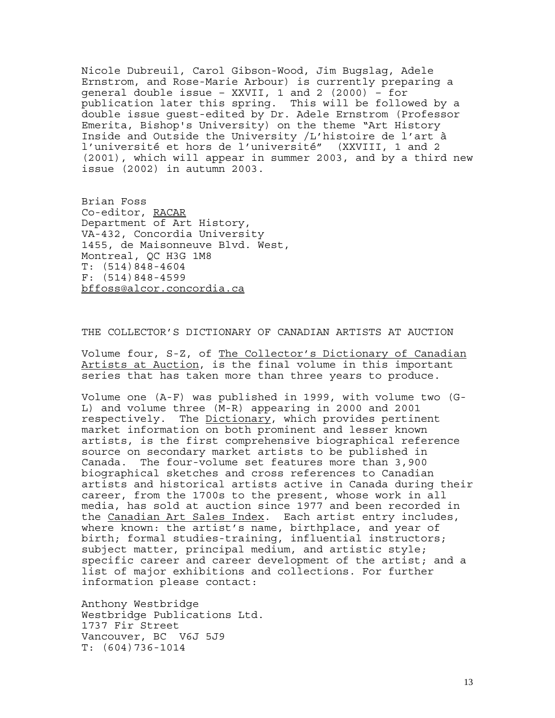Nicole Dubreuil, Carol Gibson-Wood, Jim Bugslag, Adele Ernstrom, and Rose-Marie Arbour) is currently preparing a general double issue – XXVII, 1 and 2 (2000) – for publication later this spring. This will be followed by a double issue guest-edited by Dr. Adele Ernstrom (Professor Emerita, Bishop's University) on the theme "Art History Inside and Outside the University /L'histoire de l'art à l'université et hors de l'université" (XXVIII, 1 and 2 (2001), which will appear in summer 2003, and by a third new issue (2002) in autumn 2003.

Brian Foss Co-editor, RACAR Department of Art History, VA-432, Concordia University 1455, de Maisonneuve Blvd. West, Montreal, QC H3G 1M8 T: (514)848-4604 F: (514)848-4599 bffoss@alcor.concordia.ca

THE COLLECTOR'S DICTIONARY OF CANADIAN ARTISTS AT AUCTION

Volume four, S-Z, of The Collector's Dictionary of Canadian Artists at Auction, is the final volume in this important series that has taken more than three years to produce.

Volume one (A-F) was published in 1999, with volume two (G-L) and volume three (M-R) appearing in 2000 and 2001 respectively. The Dictionary, which provides pertinent market information on both prominent and lesser known artists, is the first comprehensive biographical reference source on secondary market artists to be published in Canada. The four-volume set features more than 3,900 biographical sketches and cross references to Canadian artists and historical artists active in Canada during their career, from the 1700s to the present, whose work in all media, has sold at auction since 1977 and been recorded in the Canadian Art Sales Index. Each artist entry includes, where known: the artist's name, birthplace, and year of birth; formal studies-training, influential instructors; subject matter, principal medium, and artistic style; specific career and career development of the artist; and a list of major exhibitions and collections. For further information please contact:

Anthony Westbridge Westbridge Publications Ltd. 1737 Fir Street Vancouver, BC V6J 5J9 T: (604)736-1014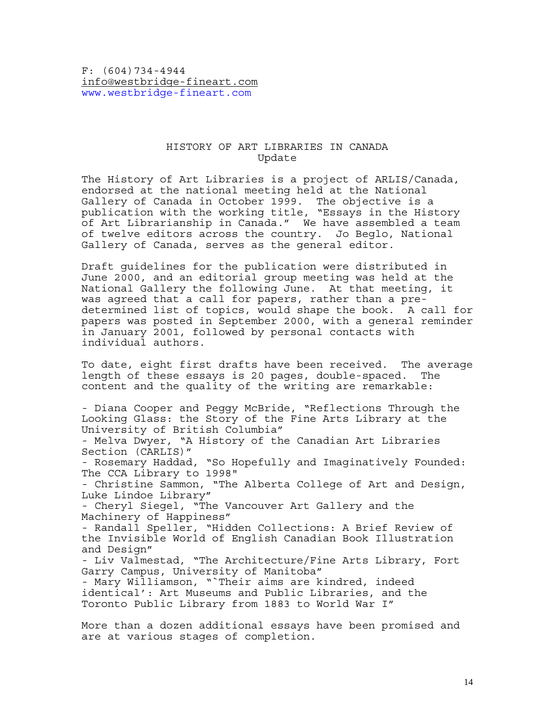F: (604)734-4944 info@westbridge-fineart.com www.westbridge-fineart.com

## HISTORY OF ART LIBRARIES IN CANADA Update

The History of Art Libraries is a project of ARLIS/Canada, endorsed at the national meeting held at the National Gallery of Canada in October 1999. The objective is a publication with the working title, "Essays in the History of Art Librarianship in Canada." We have assembled a team of twelve editors across the country. Jo Beglo, National Gallery of Canada, serves as the general editor.

Draft guidelines for the publication were distributed in June 2000, and an editorial group meeting was held at the National Gallery the following June. At that meeting, it was agreed that a call for papers, rather than a predetermined list of topics, would shape the book. A call for papers was posted in September 2000, with a general reminder in January 2001, followed by personal contacts with individual authors.

To date, eight first drafts have been received. The average length of these essays is 20 pages, double-spaced. The content and the quality of the writing are remarkable:

- Diana Cooper and Peggy McBride, "Reflections Through the Looking Glass: the Story of the Fine Arts Library at the University of British Columbia" - Melva Dwyer, "A History of the Canadian Art Libraries Section (CARLIS)" - Rosemary Haddad, "So Hopefully and Imaginatively Founded: The CCA Library to 1998" - Christine Sammon, "The Alberta College of Art and Design, Luke Lindoe Library" - Cheryl Siegel, "The Vancouver Art Gallery and the Machinery of Happiness" - Randall Speller, "Hidden Collections: A Brief Review of the Invisible World of English Canadian Book Illustration and Design" - Liv Valmestad, "The Architecture/Fine Arts Library, Fort Garry Campus, University of Manitoba" - Mary Williamson, "`Their aims are kindred, indeed identical': Art Museums and Public Libraries, and the Toronto Public Library from 1883 to World War I" More than a dozen additional essays have been promised and

are at various stages of completion.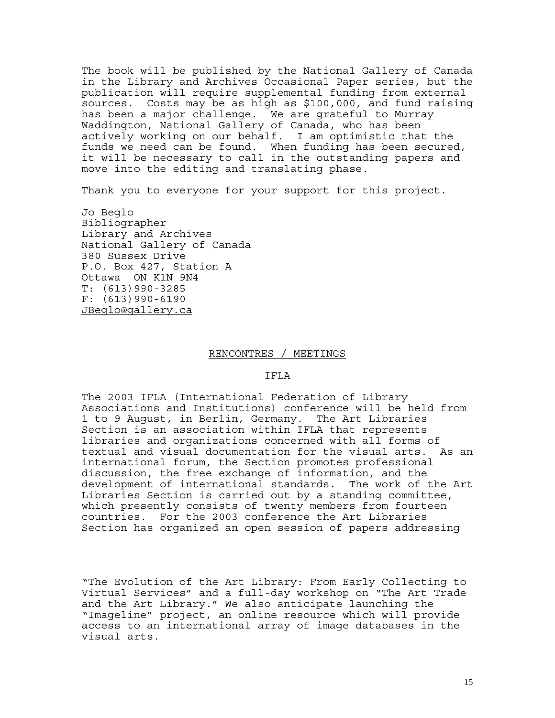The book will be published by the National Gallery of Canada in the Library and Archives Occasional Paper series, but the publication will require supplemental funding from external sources. Costs may be as high as \$100,000, and fund raising has been a major challenge. We are grateful to Murray Waddington, National Gallery of Canada, who has been actively working on our behalf. I am optimistic that the funds we need can be found. When funding has been secured, it will be necessary to call in the outstanding papers and move into the editing and translating phase.

Thank you to everyone for your support for this project.

Jo Beglo Bibliographer Library and Archives National Gallery of Canada 380 Sussex Drive P.O. Box 427, Station A Ottawa ON K1N 9N4 T: (613)990-3285 F: (613)990-6190 JBeglo@gallery.ca

#### RENCONTRES / MEETINGS

#### IFLA

The 2003 IFLA (International Federation of Library Associations and Institutions) conference will be held from 1 to 9 August, in Berlin, Germany. The Art Libraries Section is an association within IFLA that represents libraries and organizations concerned with all forms of textual and visual documentation for the visual arts. As an international forum, the Section promotes professional discussion, the free exchange of information, and the development of international standards. The work of the Art Libraries Section is carried out by a standing committee, which presently consists of twenty members from fourteen countries. For the 2003 conference the Art Libraries Section has organized an open session of papers addressing

"The Evolution of the Art Library: From Early Collecting to Virtual Services" and a full-day workshop on "The Art Trade and the Art Library." We also anticipate launching the "Imageline" project, an online resource which will provide access to an international array of image databases in the visual arts.